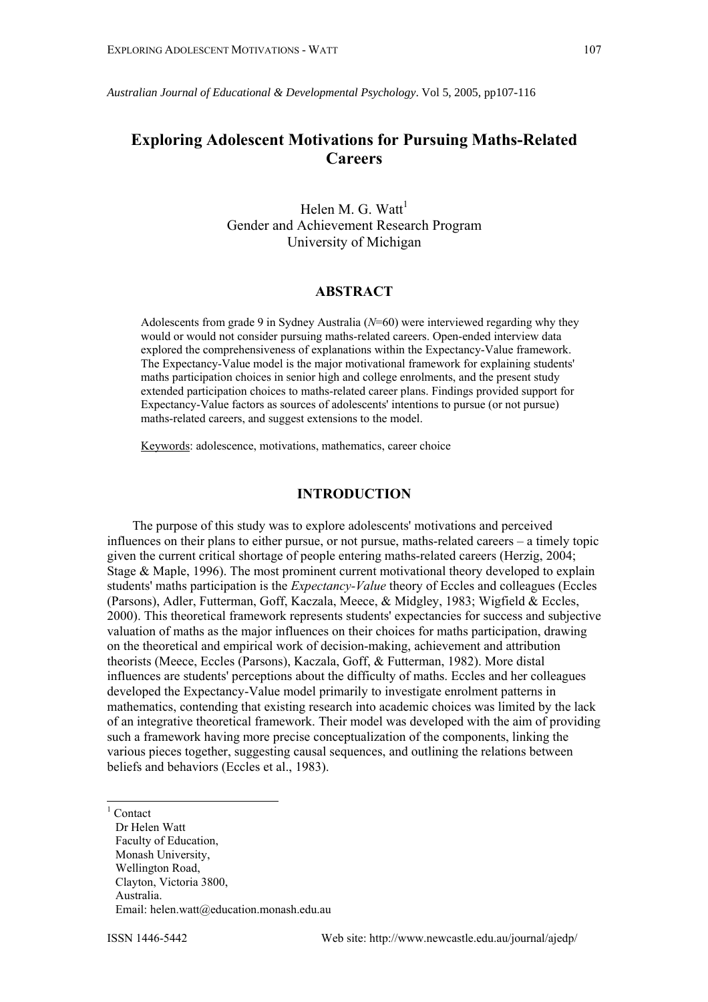*Australian Journal of Educational & Developmental Psychology*. Vol 5, 2005, pp107-116

# **Exploring Adolescent Motivations for Pursuing Maths-Related Careers**

Helen M. G. Watt $<sup>1</sup>$  $<sup>1</sup>$  $<sup>1</sup>$ </sup> Gender and Achievement Research Program University of Michigan

# **ABSTRACT**

Adolescents from grade 9 in Sydney Australia (*N*=60) were interviewed regarding why they would or would not consider pursuing maths-related careers. Open-ended interview data explored the comprehensiveness of explanations within the Expectancy-Value framework. The Expectancy-Value model is the major motivational framework for explaining students' maths participation choices in senior high and college enrolments, and the present study extended participation choices to maths-related career plans. Findings provided support for Expectancy-Value factors as sources of adolescents' intentions to pursue (or not pursue) maths-related careers, and suggest extensions to the model.

Keywords: adolescence, motivations, mathematics, career choice

### **INTRODUCTION**

The purpose of this study was to explore adolescents' motivations and perceived influences on their plans to either pursue, or not pursue, maths-related careers – a timely topic given the current critical shortage of people entering maths-related careers (Herzig, 2004; Stage & Maple, 1996). The most prominent current motivational theory developed to explain students' maths participation is the *Expectancy-Value* theory of Eccles and colleagues (Eccles (Parsons), Adler, Futterman, Goff, Kaczala, Meece, & Midgley, 1983; Wigfield & Eccles, 2000). This theoretical framework represents students' expectancies for success and subjective valuation of maths as the major influences on their choices for maths participation, drawing on the theoretical and empirical work of decision-making, achievement and attribution theorists (Meece, Eccles (Parsons), Kaczala, Goff, & Futterman, 1982). More distal influences are students' perceptions about the difficulty of maths. Eccles and her colleagues developed the Expectancy-Value model primarily to investigate enrolment patterns in mathematics, contending that existing research into academic choices was limited by the lack of an integrative theoretical framework. Their model was developed with the aim of providing such a framework having more precise conceptualization of the components, linking the various pieces together, suggesting causal sequences, and outlining the relations between beliefs and behaviors (Eccles et al., 1983).

|<br>|<br>|  $1$  Contact

<span id="page-0-0"></span>Dr Helen Watt Faculty of Education, Monash University, Wellington Road, Clayton, Victoria 3800, Australia. Email: helen.watt@education.monash.edu.au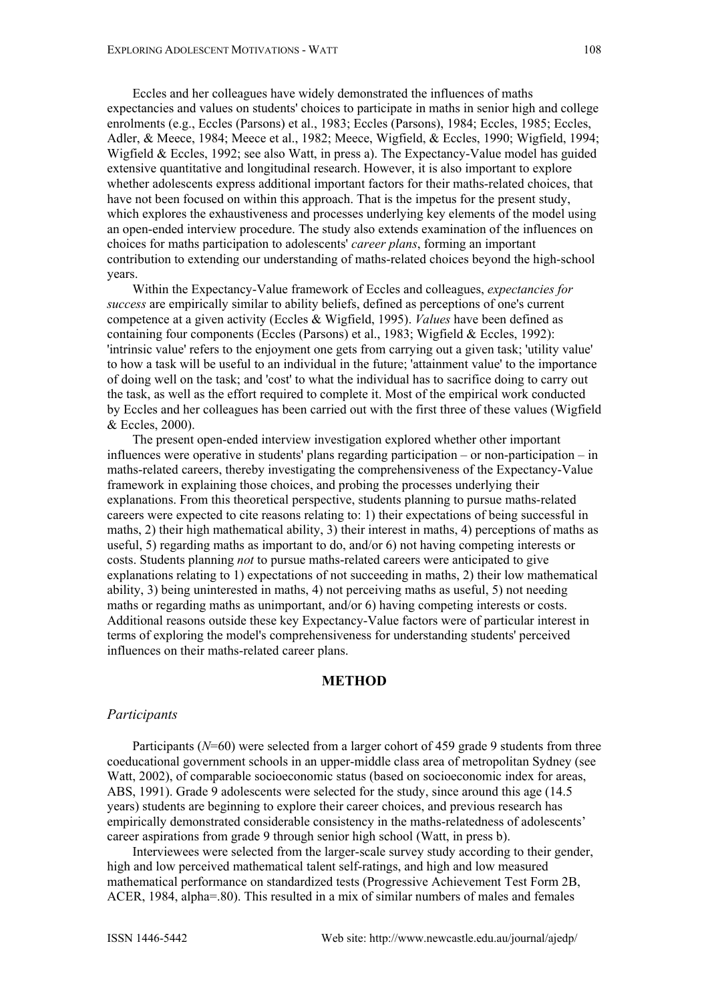Eccles and her colleagues have widely demonstrated the influences of maths expectancies and values on students' choices to participate in maths in senior high and college enrolments (e.g., Eccles (Parsons) et al., 1983; Eccles (Parsons), 1984; Eccles, 1985; Eccles, Adler, & Meece, 1984; Meece et al., 1982; Meece, Wigfield, & Eccles, 1990; Wigfield, 1994; Wigfield & Eccles, 1992; see also Watt, in press a). The Expectancy-Value model has guided extensive quantitative and longitudinal research. However, it is also important to explore whether adolescents express additional important factors for their maths-related choices, that have not been focused on within this approach. That is the impetus for the present study, which explores the exhaustiveness and processes underlying key elements of the model using an open-ended interview procedure. The study also extends examination of the influences on choices for maths participation to adolescents' *career plans*, forming an important contribution to extending our understanding of maths-related choices beyond the high-school years.

Within the Expectancy-Value framework of Eccles and colleagues, *expectancies for success* are empirically similar to ability beliefs, defined as perceptions of one's current competence at a given activity (Eccles & Wigfield, 1995). *Values* have been defined as containing four components (Eccles (Parsons) et al., 1983; Wigfield & Eccles, 1992): 'intrinsic value' refers to the enjoyment one gets from carrying out a given task; 'utility value' to how a task will be useful to an individual in the future; 'attainment value' to the importance of doing well on the task; and 'cost' to what the individual has to sacrifice doing to carry out the task, as well as the effort required to complete it. Most of the empirical work conducted by Eccles and her colleagues has been carried out with the first three of these values (Wigfield & Eccles, 2000).

The present open-ended interview investigation explored whether other important influences were operative in students' plans regarding participation – or non-participation – in maths-related careers, thereby investigating the comprehensiveness of the Expectancy-Value framework in explaining those choices, and probing the processes underlying their explanations. From this theoretical perspective, students planning to pursue maths-related careers were expected to cite reasons relating to: 1) their expectations of being successful in maths, 2) their high mathematical ability, 3) their interest in maths, 4) perceptions of maths as useful, 5) regarding maths as important to do, and/or 6) not having competing interests or costs. Students planning *not* to pursue maths-related careers were anticipated to give explanations relating to 1) expectations of not succeeding in maths, 2) their low mathematical ability, 3) being uninterested in maths, 4) not perceiving maths as useful, 5) not needing maths or regarding maths as unimportant, and/or 6) having competing interests or costs. Additional reasons outside these key Expectancy-Value factors were of particular interest in terms of exploring the model's comprehensiveness for understanding students' perceived influences on their maths-related career plans.

### **METHOD**

#### *Participants*

Participants (*N*=60) were selected from a larger cohort of 459 grade 9 students from three coeducational government schools in an upper-middle class area of metropolitan Sydney (see Watt, 2002), of comparable socioeconomic status (based on socioeconomic index for areas, ABS, 1991). Grade 9 adolescents were selected for the study, since around this age (14.5 years) students are beginning to explore their career choices, and previous research has empirically demonstrated considerable consistency in the maths-relatedness of adolescents' career aspirations from grade 9 through senior high school (Watt, in press b).

Interviewees were selected from the larger-scale survey study according to their gender, high and low perceived mathematical talent self-ratings, and high and low measured mathematical performance on standardized tests (Progressive Achievement Test Form 2B, ACER, 1984, alpha=.80). This resulted in a mix of similar numbers of males and females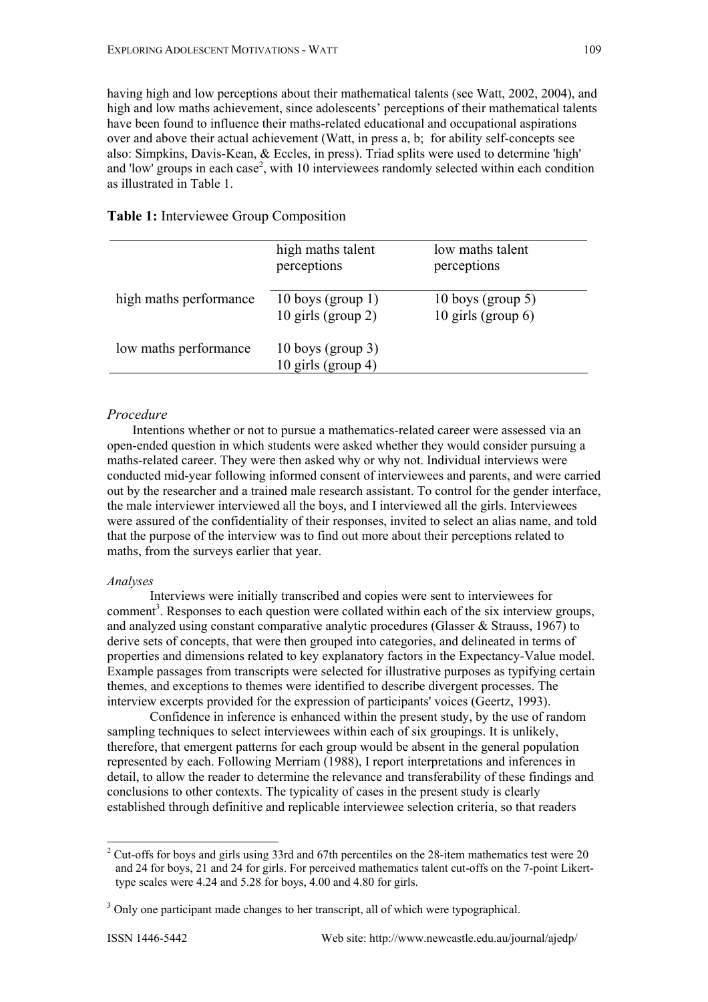having high and low perceptions about their mathematical talents (see Watt, 2002, 2004), and high and low maths achievement, since adolescents' perceptions of their mathematical talents have been found to influence their maths-related educational and occupational aspirations over and above their actual achievement (Watt, in press a, b; for ability self-concepts see also: Simpkins, Davis-Kean, & Eccles, in press). Triad splits were used to determine 'high' and 'low' groups in each case<sup>2</sup>[,](#page-2-0) with 10 interviewees randomly selected within each condition as illustrated in Table 1.

| Table 1: Interviewee Group Composition |  |
|----------------------------------------|--|
|----------------------------------------|--|

|                        | high maths talent<br>perceptions              | low maths talent<br>perceptions            |
|------------------------|-----------------------------------------------|--------------------------------------------|
| high maths performance | 10 boys (group $1)$ )<br>$10$ girls (group 2) | 10 boys (group 5)<br>10 girls (group $6$ ) |
| low maths performance  | $10$ boys (group 3)<br>10 girls (group 4)     |                                            |

### *Procedure*

Intentions whether or not to pursue a mathematics-related career were assessed via an open-ended question in which students were asked whether they would consider pursuing a maths-related career. They were then asked why or why not. Individual interviews were conducted mid-year following informed consent of interviewees and parents, and were carried out by the researcher and a trained male research assistant. To control for the gender interface, the male interviewer interviewed all the boys, and I interviewed all the girls. Interviewees were assured of the confidentiality of their responses, invited to select an alias name, and told that the purpose of the interview was to find out more about their perceptions related to maths, from the surveys earlier that year.

#### *Analyses*

Interviews were initially transcribed and copies were sent to interviewees for comment<sup>[3](#page-2-1)</sup>. Responses to each question were collated within each of the six interview groups, and analyzed using constant comparative analytic procedures (Glasser & Strauss, 1967) to derive sets of concepts, that were then grouped into categories, and delineated in terms of properties and dimensions related to key explanatory factors in the Expectancy-Value model. Example passages from transcripts were selected for illustrative purposes as typifying certain themes, and exceptions to themes were identified to describe divergent processes. The interview excerpts provided for the expression of participants' voices (Geertz, 1993).

Confidence in inference is enhanced within the present study, by the use of random sampling techniques to select interviewees within each of six groupings. It is unlikely, therefore, that emergent patterns for each group would be absent in the general population represented by each. Following Merriam (1988), I report interpretations and inferences in detail, to allow the reader to determine the relevance and transferability of these findings and conclusions to other contexts. The typicality of cases in the present study is clearly established through definitive and replicable interviewee selection criteria, so that readers

<span id="page-2-0"></span><sup>&</sup>lt;sup>2</sup> <sup>2</sup> Cut-offs for boys and girls using 33rd and 67th percentiles on the 28-item mathematics test were 20 and 24 for boys, 21 and 24 for girls. For perceived mathematics talent cut-offs on the 7-point Likerttype scales were 4.24 and 5.28 for boys, 4.00 and 4.80 for girls.

<span id="page-2-1"></span><sup>&</sup>lt;sup>3</sup> Only one participant made changes to her transcript, all of which were typographical.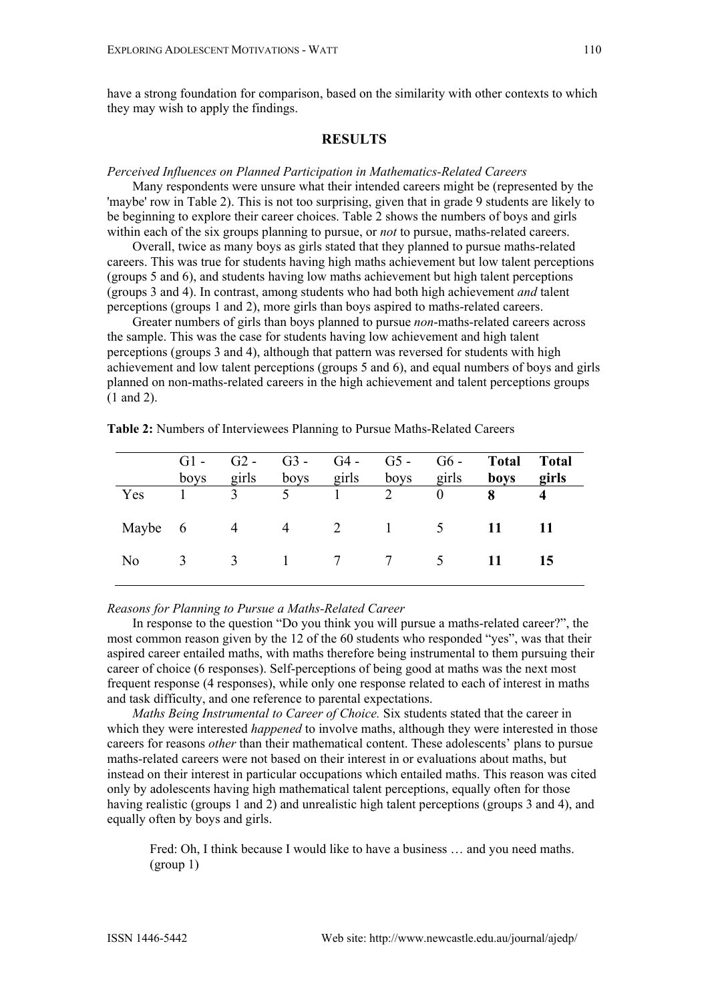# **RESULTS**

#### *Perceived Influences on Planned Participation in Mathematics-Related Careers*

Many respondents were unsure what their intended careers might be (represented by the 'maybe' row in Table 2). This is not too surprising, given that in grade 9 students are likely to be beginning to explore their career choices. Table 2 shows the numbers of boys and girls within each of the six groups planning to pursue, or *not* to pursue, maths-related careers.

Overall, twice as many boys as girls stated that they planned to pursue maths-related careers. This was true for students having high maths achievement but low talent perceptions (groups 5 and 6), and students having low maths achievement but high talent perceptions (groups 3 and 4). In contrast, among students who had both high achievement *and* talent perceptions (groups 1 and 2), more girls than boys aspired to maths-related careers.

Greater numbers of girls than boys planned to pursue *non*-maths-related careers across the sample. This was the case for students having low achievement and high talent perceptions (groups 3 and 4), although that pattern was reversed for students with high achievement and low talent perceptions (groups 5 and 6), and equal numbers of boys and girls planned on non-maths-related careers in the high achievement and talent perceptions groups (1 and 2).

|                | $G1 -$<br>boys | $G2 -$<br>girls | $G3 -$<br>boys girls | $G4$ -    | $G5 - G6 -$<br>boys | girls                            | <b>Total</b><br>boys | <b>Total</b><br>girls |
|----------------|----------------|-----------------|----------------------|-----------|---------------------|----------------------------------|----------------------|-----------------------|
| Yes            |                | $\mathcal{E}$   | $\sim$ 5             | $\sim$ 1. | 2                   | $\begin{array}{c} 0 \end{array}$ |                      |                       |
| Maybe 6        |                | $\overline{4}$  |                      |           | 4 2 1 5             |                                  | 11                   |                       |
| N <sub>0</sub> | 3              |                 |                      |           | 3 1 7 7 5           |                                  |                      | 15                    |

**Table 2:** Numbers of Interviewees Planning to Pursue Maths-Related Careers

### *Reasons for Planning to Pursue a Maths-Related Career*

In response to the question "Do you think you will pursue a maths-related career?", the most common reason given by the 12 of the 60 students who responded "yes", was that their aspired career entailed maths, with maths therefore being instrumental to them pursuing their career of choice (6 responses). Self-perceptions of being good at maths was the next most frequent response (4 responses), while only one response related to each of interest in maths and task difficulty, and one reference to parental expectations.

*Maths Being Instrumental to Career of Choice.* Six students stated that the career in which they were interested *happened* to involve maths, although they were interested in those careers for reasons *other* than their mathematical content. These adolescents' plans to pursue maths-related careers were not based on their interest in or evaluations about maths, but instead on their interest in particular occupations which entailed maths. This reason was cited only by adolescents having high mathematical talent perceptions, equally often for those having realistic (groups 1 and 2) and unrealistic high talent perceptions (groups 3 and 4), and equally often by boys and girls.

Fred: Oh, I think because I would like to have a business … and you need maths. (group 1)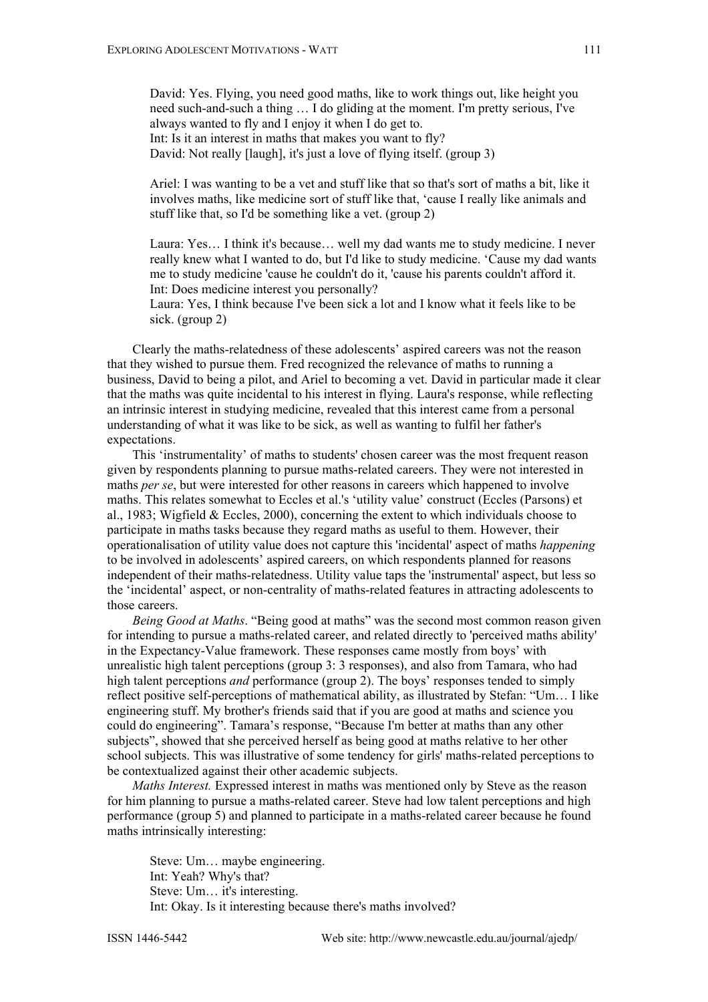David: Yes. Flying, you need good maths, like to work things out, like height you need such-and-such a thing … I do gliding at the moment. I'm pretty serious, I've always wanted to fly and I enjoy it when I do get to. Int: Is it an interest in maths that makes you want to fly? David: Not really [laugh], it's just a love of flying itself. (group 3)

Ariel: I was wanting to be a vet and stuff like that so that's sort of maths a bit, like it involves maths, like medicine sort of stuff like that, 'cause I really like animals and stuff like that, so I'd be something like a vet. (group 2)

Laura: Yes… I think it's because… well my dad wants me to study medicine. I never really knew what I wanted to do, but I'd like to study medicine. 'Cause my dad wants me to study medicine 'cause he couldn't do it, 'cause his parents couldn't afford it. Int: Does medicine interest you personally?

Laura: Yes, I think because I've been sick a lot and I know what it feels like to be sick. (group 2)

Clearly the maths-relatedness of these adolescents' aspired careers was not the reason that they wished to pursue them. Fred recognized the relevance of maths to running a business, David to being a pilot, and Ariel to becoming a vet. David in particular made it clear that the maths was quite incidental to his interest in flying. Laura's response, while reflecting an intrinsic interest in studying medicine, revealed that this interest came from a personal understanding of what it was like to be sick, as well as wanting to fulfil her father's expectations.

This 'instrumentality' of maths to students' chosen career was the most frequent reason given by respondents planning to pursue maths-related careers. They were not interested in maths *per se*, but were interested for other reasons in careers which happened to involve maths. This relates somewhat to Eccles et al.'s 'utility value' construct (Eccles (Parsons) et al., 1983; Wigfield & Eccles, 2000), concerning the extent to which individuals choose to participate in maths tasks because they regard maths as useful to them. However, their operationalisation of utility value does not capture this 'incidental' aspect of maths *happening* to be involved in adolescents' aspired careers, on which respondents planned for reasons independent of their maths-relatedness. Utility value taps the 'instrumental' aspect, but less so the 'incidental' aspect, or non-centrality of maths-related features in attracting adolescents to those careers.

*Being Good at Maths*. "Being good at maths" was the second most common reason given for intending to pursue a maths-related career, and related directly to 'perceived maths ability' in the Expectancy-Value framework. These responses came mostly from boys' with unrealistic high talent perceptions (group 3: 3 responses), and also from Tamara, who had high talent perceptions *and* performance (group 2). The boys' responses tended to simply reflect positive self-perceptions of mathematical ability, as illustrated by Stefan: "Um… I like engineering stuff. My brother's friends said that if you are good at maths and science you could do engineering". Tamara's response, "Because I'm better at maths than any other subjects", showed that she perceived herself as being good at maths relative to her other school subjects. This was illustrative of some tendency for girls' maths-related perceptions to be contextualized against their other academic subjects.

*Maths Interest.* Expressed interest in maths was mentioned only by Steve as the reason for him planning to pursue a maths-related career. Steve had low talent perceptions and high performance (group 5) and planned to participate in a maths-related career because he found maths intrinsically interesting:

Steve: Um… maybe engineering. Int: Yeah? Why's that? Steve: Um… it's interesting. Int: Okay. Is it interesting because there's maths involved?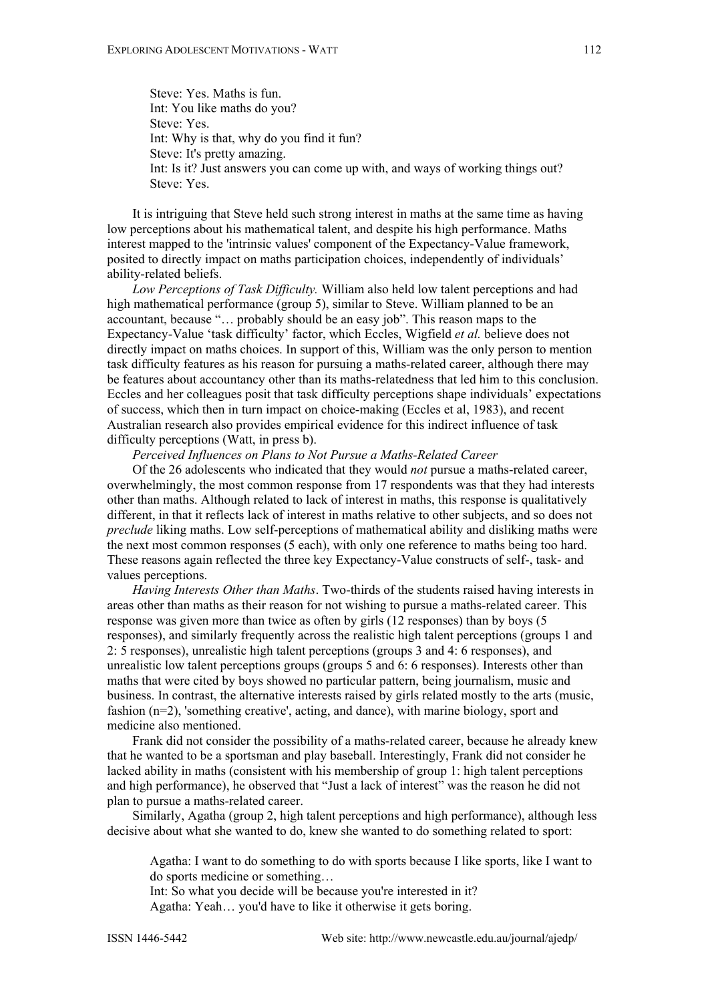Steve: Yes. Maths is fun. Int: You like maths do you? Steve: Yes. Int: Why is that, why do you find it fun? Steve: It's pretty amazing. Int: Is it? Just answers you can come up with, and ways of working things out? Steve: Yes.

It is intriguing that Steve held such strong interest in maths at the same time as having low perceptions about his mathematical talent, and despite his high performance. Maths interest mapped to the 'intrinsic values' component of the Expectancy-Value framework, posited to directly impact on maths participation choices, independently of individuals' ability-related beliefs.

*Low Perceptions of Task Difficulty.* William also held low talent perceptions and had high mathematical performance (group 5), similar to Steve. William planned to be an accountant, because "… probably should be an easy job". This reason maps to the Expectancy-Value 'task difficulty' factor, which Eccles, Wigfield *et al.* believe does not directly impact on maths choices. In support of this, William was the only person to mention task difficulty features as his reason for pursuing a maths-related career, although there may be features about accountancy other than its maths-relatedness that led him to this conclusion. Eccles and her colleagues posit that task difficulty perceptions shape individuals' expectations of success, which then in turn impact on choice-making (Eccles et al, 1983), and recent Australian research also provides empirical evidence for this indirect influence of task difficulty perceptions (Watt, in press b).

*Perceived Influences on Plans to Not Pursue a Maths-Related Career* 

Of the 26 adolescents who indicated that they would *not* pursue a maths-related career, overwhelmingly, the most common response from 17 respondents was that they had interests other than maths. Although related to lack of interest in maths, this response is qualitatively different, in that it reflects lack of interest in maths relative to other subjects, and so does not *preclude* liking maths. Low self-perceptions of mathematical ability and disliking maths were the next most common responses (5 each), with only one reference to maths being too hard. These reasons again reflected the three key Expectancy-Value constructs of self-, task- and values perceptions.

*Having Interests Other than Maths*. Two-thirds of the students raised having interests in areas other than maths as their reason for not wishing to pursue a maths-related career. This response was given more than twice as often by girls (12 responses) than by boys (5 responses), and similarly frequently across the realistic high talent perceptions (groups 1 and 2: 5 responses), unrealistic high talent perceptions (groups 3 and 4: 6 responses), and unrealistic low talent perceptions groups (groups 5 and 6: 6 responses). Interests other than maths that were cited by boys showed no particular pattern, being journalism, music and business. In contrast, the alternative interests raised by girls related mostly to the arts (music, fashion (n=2), 'something creative', acting, and dance), with marine biology, sport and medicine also mentioned.

Frank did not consider the possibility of a maths-related career, because he already knew that he wanted to be a sportsman and play baseball. Interestingly, Frank did not consider he lacked ability in maths (consistent with his membership of group 1: high talent perceptions and high performance), he observed that "Just a lack of interest" was the reason he did not plan to pursue a maths-related career.

Similarly, Agatha (group 2, high talent perceptions and high performance), although less decisive about what she wanted to do, knew she wanted to do something related to sport:

Agatha: I want to do something to do with sports because I like sports, like I want to do sports medicine or something…

Int: So what you decide will be because you're interested in it? Agatha: Yeah… you'd have to like it otherwise it gets boring.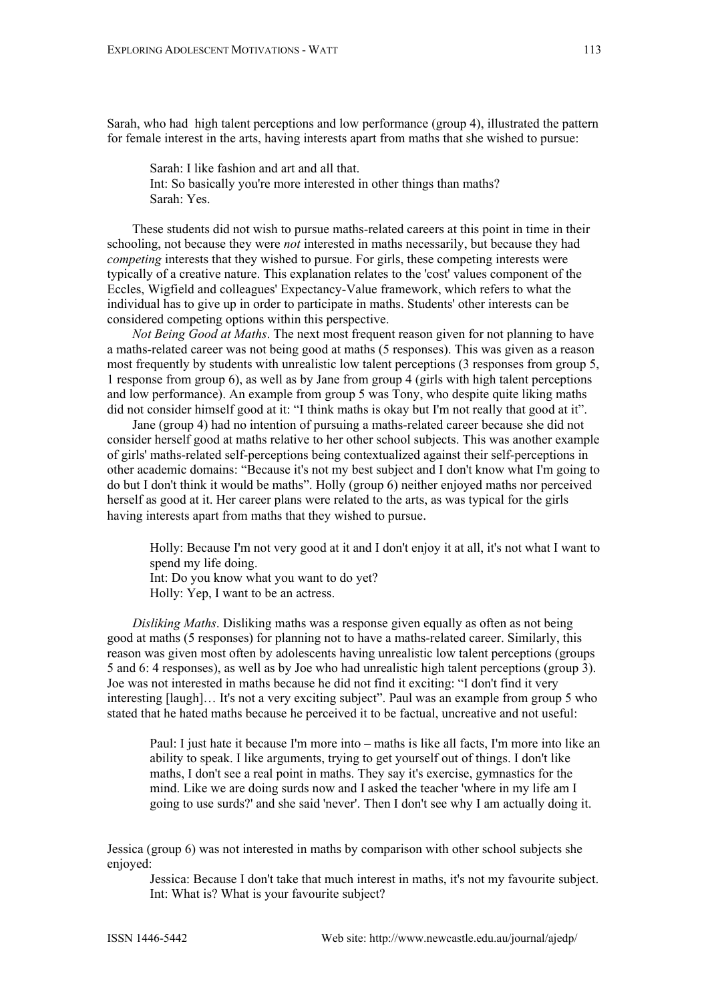Sarah, who had high talent perceptions and low performance (group 4), illustrated the pattern for female interest in the arts, having interests apart from maths that she wished to pursue:

Sarah: I like fashion and art and all that. Int: So basically you're more interested in other things than maths? Sarah: Yes.

These students did not wish to pursue maths-related careers at this point in time in their schooling, not because they were *not* interested in maths necessarily, but because they had *competing* interests that they wished to pursue. For girls, these competing interests were typically of a creative nature. This explanation relates to the 'cost' values component of the Eccles, Wigfield and colleagues' Expectancy-Value framework, which refers to what the individual has to give up in order to participate in maths. Students' other interests can be considered competing options within this perspective.

*Not Being Good at Maths*. The next most frequent reason given for not planning to have a maths-related career was not being good at maths (5 responses). This was given as a reason most frequently by students with unrealistic low talent perceptions (3 responses from group 5, 1 response from group 6), as well as by Jane from group 4 (girls with high talent perceptions and low performance). An example from group 5 was Tony, who despite quite liking maths did not consider himself good at it: "I think maths is okay but I'm not really that good at it".

Jane (group 4) had no intention of pursuing a maths-related career because she did not consider herself good at maths relative to her other school subjects. This was another example of girls' maths-related self-perceptions being contextualized against their self-perceptions in other academic domains: "Because it's not my best subject and I don't know what I'm going to do but I don't think it would be maths". Holly (group 6) neither enjoyed maths nor perceived herself as good at it. Her career plans were related to the arts, as was typical for the girls having interests apart from maths that they wished to pursue.

Holly: Because I'm not very good at it and I don't enjoy it at all, it's not what I want to spend my life doing. Int: Do you know what you want to do yet? Holly: Yep, I want to be an actress.

*Disliking Maths*. Disliking maths was a response given equally as often as not being good at maths (5 responses) for planning not to have a maths-related career. Similarly, this reason was given most often by adolescents having unrealistic low talent perceptions (groups 5 and 6: 4 responses), as well as by Joe who had unrealistic high talent perceptions (group 3). Joe was not interested in maths because he did not find it exciting: "I don't find it very interesting [laugh]… It's not a very exciting subject". Paul was an example from group 5 who stated that he hated maths because he perceived it to be factual, uncreative and not useful:

Paul: I just hate it because I'm more into – maths is like all facts, I'm more into like an ability to speak. I like arguments, trying to get yourself out of things. I don't like maths, I don't see a real point in maths. They say it's exercise, gymnastics for the mind. Like we are doing surds now and I asked the teacher 'where in my life am I going to use surds?' and she said 'never'. Then I don't see why I am actually doing it.

Jessica (group 6) was not interested in maths by comparison with other school subjects she enjoyed:

Jessica: Because I don't take that much interest in maths, it's not my favourite subject. Int: What is? What is your favourite subject?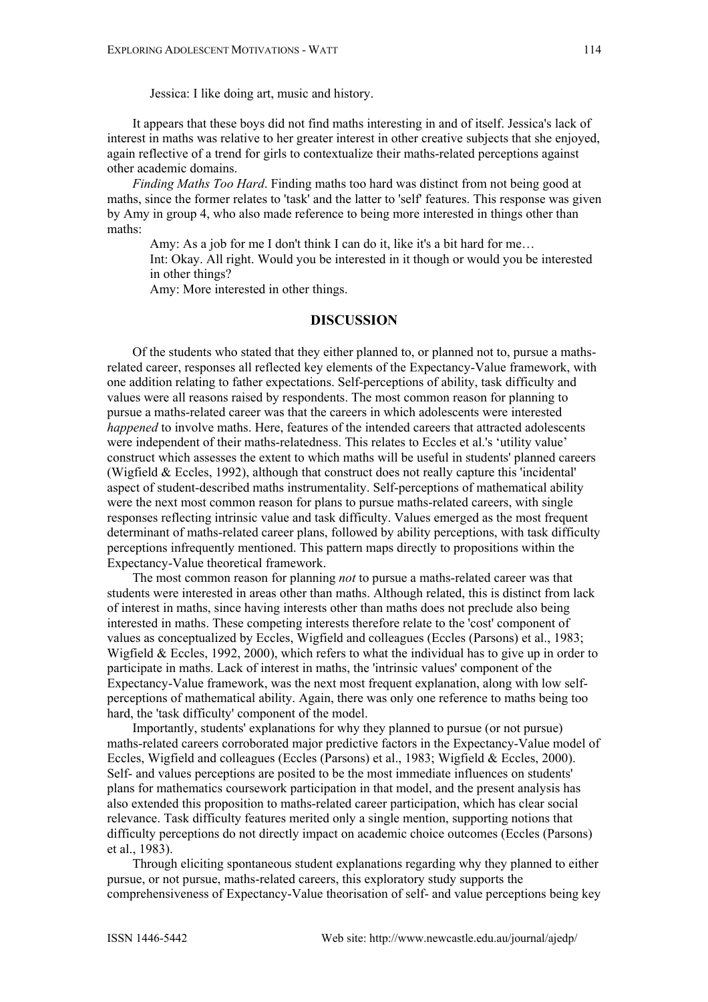Jessica: I like doing art, music and history.

It appears that these boys did not find maths interesting in and of itself. Jessica's lack of interest in maths was relative to her greater interest in other creative subjects that she enjoyed, again reflective of a trend for girls to contextualize their maths-related perceptions against other academic domains.

*Finding Maths Too Hard*. Finding maths too hard was distinct from not being good at maths, since the former relates to 'task' and the latter to 'self' features. This response was given by Amy in group 4, who also made reference to being more interested in things other than maths:

Amy: As a job for me I don't think I can do it, like it's a bit hard for me... Int: Okay. All right. Would you be interested in it though or would you be interested in other things?

Amy: More interested in other things.

# **DISCUSSION**

Of the students who stated that they either planned to, or planned not to, pursue a mathsrelated career, responses all reflected key elements of the Expectancy-Value framework, with one addition relating to father expectations. Self-perceptions of ability, task difficulty and values were all reasons raised by respondents. The most common reason for planning to pursue a maths-related career was that the careers in which adolescents were interested *happened* to involve maths. Here, features of the intended careers that attracted adolescents were independent of their maths-relatedness. This relates to Eccles et al.'s 'utility value' construct which assesses the extent to which maths will be useful in students' planned careers (Wigfield & Eccles, 1992), although that construct does not really capture this 'incidental' aspect of student-described maths instrumentality. Self-perceptions of mathematical ability were the next most common reason for plans to pursue maths-related careers, with single responses reflecting intrinsic value and task difficulty. Values emerged as the most frequent determinant of maths-related career plans, followed by ability perceptions, with task difficulty perceptions infrequently mentioned. This pattern maps directly to propositions within the Expectancy-Value theoretical framework.

The most common reason for planning *not* to pursue a maths-related career was that students were interested in areas other than maths. Although related, this is distinct from lack of interest in maths, since having interests other than maths does not preclude also being interested in maths. These competing interests therefore relate to the 'cost' component of values as conceptualized by Eccles, Wigfield and colleagues (Eccles (Parsons) et al., 1983; Wigfield & Eccles, 1992, 2000), which refers to what the individual has to give up in order to participate in maths. Lack of interest in maths, the 'intrinsic values' component of the Expectancy-Value framework, was the next most frequent explanation, along with low selfperceptions of mathematical ability. Again, there was only one reference to maths being too hard, the 'task difficulty' component of the model.

Importantly, students' explanations for why they planned to pursue (or not pursue) maths-related careers corroborated major predictive factors in the Expectancy-Value model of Eccles, Wigfield and colleagues (Eccles (Parsons) et al., 1983; Wigfield & Eccles, 2000). Self- and values perceptions are posited to be the most immediate influences on students' plans for mathematics coursework participation in that model, and the present analysis has also extended this proposition to maths-related career participation, which has clear social relevance. Task difficulty features merited only a single mention, supporting notions that difficulty perceptions do not directly impact on academic choice outcomes (Eccles (Parsons) et al., 1983).

Through eliciting spontaneous student explanations regarding why they planned to either pursue, or not pursue, maths-related careers, this exploratory study supports the comprehensiveness of Expectancy-Value theorisation of self- and value perceptions being key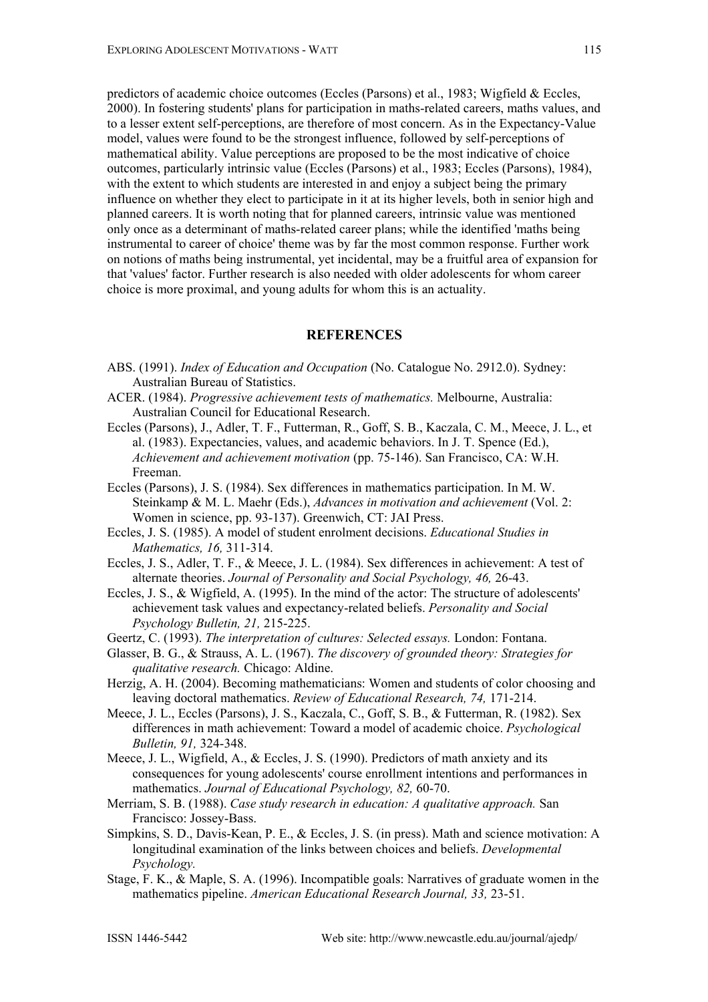predictors of academic choice outcomes (Eccles (Parsons) et al., 1983; Wigfield & Eccles, 2000). In fostering students' plans for participation in maths-related careers, maths values, and to a lesser extent self-perceptions, are therefore of most concern. As in the Expectancy-Value model, values were found to be the strongest influence, followed by self-perceptions of mathematical ability. Value perceptions are proposed to be the most indicative of choice outcomes, particularly intrinsic value (Eccles (Parsons) et al., 1983; Eccles (Parsons), 1984), with the extent to which students are interested in and enjoy a subject being the primary influence on whether they elect to participate in it at its higher levels, both in senior high and planned careers. It is worth noting that for planned careers, intrinsic value was mentioned only once as a determinant of maths-related career plans; while the identified 'maths being instrumental to career of choice' theme was by far the most common response. Further work on notions of maths being instrumental, yet incidental, may be a fruitful area of expansion for that 'values' factor. Further research is also needed with older adolescents for whom career choice is more proximal, and young adults for whom this is an actuality.

# **REFERENCES**

- ABS. (1991). *Index of Education and Occupation* (No. Catalogue No. 2912.0). Sydney: Australian Bureau of Statistics.
- ACER. (1984). *Progressive achievement tests of mathematics.* Melbourne, Australia: Australian Council for Educational Research.
- Eccles (Parsons), J., Adler, T. F., Futterman, R., Goff, S. B., Kaczala, C. M., Meece, J. L., et al. (1983). Expectancies, values, and academic behaviors. In J. T. Spence (Ed.), *Achievement and achievement motivation* (pp. 75-146). San Francisco, CA: W.H. Freeman.
- Eccles (Parsons), J. S. (1984). Sex differences in mathematics participation. In M. W. Steinkamp & M. L. Maehr (Eds.), *Advances in motivation and achievement* (Vol. 2: Women in science, pp. 93-137). Greenwich, CT: JAI Press.
- Eccles, J. S. (1985). A model of student enrolment decisions. *Educational Studies in Mathematics, 16,* 311-314.
- Eccles, J. S., Adler, T. F., & Meece, J. L. (1984). Sex differences in achievement: A test of alternate theories. *Journal of Personality and Social Psychology, 46,* 26-43.
- Eccles, J. S., & Wigfield, A. (1995). In the mind of the actor: The structure of adolescents' achievement task values and expectancy-related beliefs. *Personality and Social Psychology Bulletin, 21,* 215-225.
- Geertz, C. (1993). *The interpretation of cultures: Selected essays.* London: Fontana.
- Glasser, B. G., & Strauss, A. L. (1967). *The discovery of grounded theory: Strategies for qualitative research.* Chicago: Aldine.
- Herzig, A. H. (2004). Becoming mathematicians: Women and students of color choosing and leaving doctoral mathematics. *Review of Educational Research, 74,* 171-214.
- Meece, J. L., Eccles (Parsons), J. S., Kaczala, C., Goff, S. B., & Futterman, R. (1982). Sex differences in math achievement: Toward a model of academic choice. *Psychological Bulletin, 91,* 324-348.
- Meece, J. L., Wigfield, A., & Eccles, J. S. (1990). Predictors of math anxiety and its consequences for young adolescents' course enrollment intentions and performances in mathematics. *Journal of Educational Psychology, 82,* 60-70.
- Merriam, S. B. (1988). *Case study research in education: A qualitative approach.* San Francisco: Jossey-Bass.
- Simpkins, S. D., Davis-Kean, P. E., & Eccles, J. S. (in press). Math and science motivation: A longitudinal examination of the links between choices and beliefs. *Developmental Psychology.*
- Stage, F. K., & Maple, S. A. (1996). Incompatible goals: Narratives of graduate women in the mathematics pipeline. *American Educational Research Journal, 33,* 23-51.